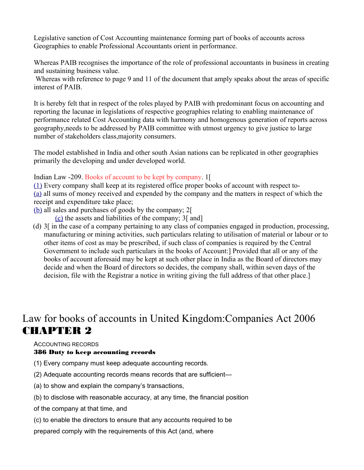Legislative sanction of Cost Accounting maintenance forming part of books of accounts across Geographies to enable Professional Accountants orient in performance.

Whereas PAIB recognises the importance of the role of professional accountants in business in creating and sustaining business value.

 Whereas with reference to page 9 and 11 of the document that amply speaks about the areas of specific interest of PAIB.

It is hereby felt that in respect of the roles played by PAIB with predominant focus on accounting and reporting the lacunae in legislations of respective geographies relating to enabling maintenance of performance related Cost Accounting data with harmony and homogenous generation of reports across geography,needs to be addressed by PAIB committee with utmost urgency to give justice to large number of stakeholders class,majority consumers.

The model established in India and other south Asian nations can be replicated in other geographies primarily the developing and under developed world.

Indian Law -209. Books of account to be kept by company. 1[

[\(1\)](file:///doc/1802021/) Every company shall keep at its registered office proper books of account with respect to- [\(a\)](file:///doc/198156/) all sums of money received and expended by the company and the matters in respect of which the receipt and expenditure take place;

[\(b\)](file:///doc/360180/) all sales and purchases of goods by the company; 2[

[\(c\)](file:///doc/1600668/) the assets and liabilities of the company; 3[ and]

(d) 3[ in the case of a company pertaining to any class of companies engaged in production, processing, manufacturing or mining activities, such particulars relating to utilisation of material or labour or to other items of cost as may be prescribed, if such class of companies is required by the Central Government to include such particulars in the books of Account:] Provided that all or any of the books of account aforesaid may be kept at such other place in India as the Board of directors may decide and when the Board of directors so decides, the company shall, within seven days of the decision, file with the Registrar a notice in writing giving the full address of that other place.]

## Law for books of accounts in United Kingdom:Companies Act 2006 CHAPTER 2

#### ACCOUNTING RECORDS

#### 386 Duty to keep accounting records

- (1) Every company must keep adequate accounting records.
- (2) Adequate accounting records means records that are sufficient—
- (a) to show and explain the company's transactions,
- (b) to disclose with reasonable accuracy, at any time, the financial position
- of the company at that time, and
- (c) to enable the directors to ensure that any accounts required to be
- prepared comply with the requirements of this Act (and, where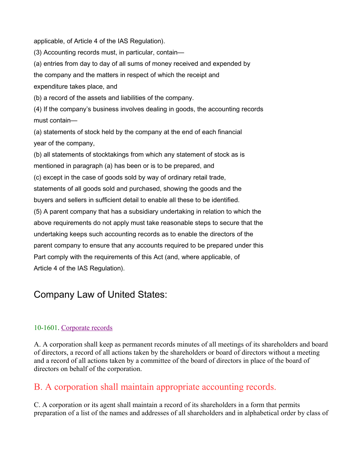applicable, of Article 4 of the IAS Regulation).

(3) Accounting records must, in particular, contain—

(a) entries from day to day of all sums of money received and expended by the company and the matters in respect of which the receipt and expenditure takes place, and

(b) a record of the assets and liabilities of the company.

(4) If the company's business involves dealing in goods, the accounting records must contain—

(a) statements of stock held by the company at the end of each financial year of the company,

(b) all statements of stocktakings from which any statement of stock as is mentioned in paragraph (a) has been or is to be prepared, and

(c) except in the case of goods sold by way of ordinary retail trade,

statements of all goods sold and purchased, showing the goods and the

buyers and sellers in sufficient detail to enable all these to be identified.

(5) A parent company that has a subsidiary undertaking in relation to which the above requirements do not apply must take reasonable steps to secure that the undertaking keeps such accounting records as to enable the directors of the parent company to ensure that any accounts required to be prepared under this Part comply with the requirements of this Act (and, where applicable, of Article 4 of the IAS Regulation).

## Company Law of United States:

### 10-1601. Corporate records

A. A corporation shall keep as permanent records minutes of all meetings of its shareholders and board of directors, a record of all actions taken by the shareholders or board of directors without a meeting and a record of all actions taken by a committee of the board of directors in place of the board of directors on behalf of the corporation.

## B. A corporation shall maintain appropriate accounting records.

C. A corporation or its agent shall maintain a record of its shareholders in a form that permits preparation of a list of the names and addresses of all shareholders and in alphabetical order by class of